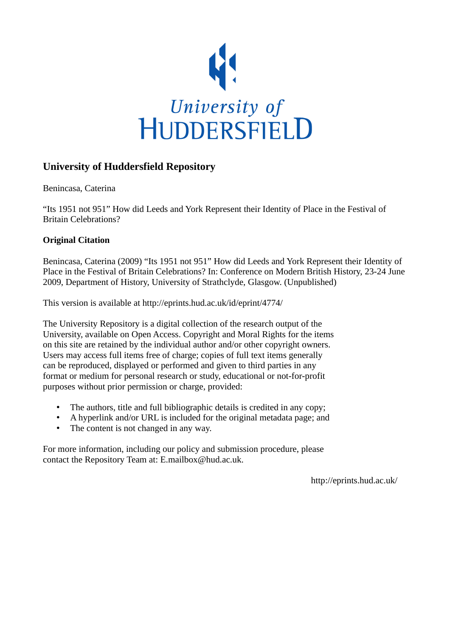

# **University of Huddersfield Repository**

Benincasa, Caterina

"Its 1951 not 951" How did Leeds and York Represent their Identity of Place in the Festival of Britain Celebrations?

# **Original Citation**

Benincasa, Caterina (2009) "Its 1951 not 951" How did Leeds and York Represent their Identity of Place in the Festival of Britain Celebrations? In: Conference on Modern British History, 23-24 June 2009, Department of History, University of Strathclyde, Glasgow. (Unpublished)

This version is available at http://eprints.hud.ac.uk/id/eprint/4774/

The University Repository is a digital collection of the research output of the University, available on Open Access. Copyright and Moral Rights for the items on this site are retained by the individual author and/or other copyright owners. Users may access full items free of charge; copies of full text items generally can be reproduced, displayed or performed and given to third parties in any format or medium for personal research or study, educational or not-for-profit purposes without prior permission or charge, provided:

- The authors, title and full bibliographic details is credited in any copy;
- A hyperlink and/or URL is included for the original metadata page; and
- The content is not changed in any way.

For more information, including our policy and submission procedure, please contact the Repository Team at: E.mailbox@hud.ac.uk.

http://eprints.hud.ac.uk/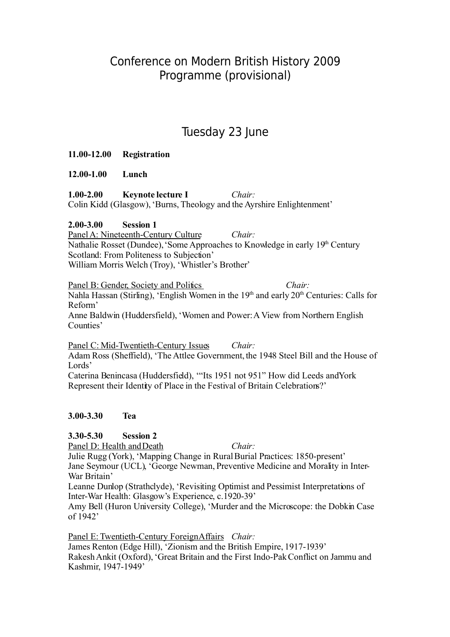# Conference on Modern British History 2009 Programme (provisional)

# Tuesday 23 June

# **11.00-12.00 Registration**

**12.00-1.00 Lunch**

**1.00-2.00 Keynote lecture I** *Chair:*  Colin Kidd (Glasgow), 'Burns, Theology and the Ayrshire Enlightenment'

# **2.00-3.00 Session 1**

Panel A: Nineteenth-Century Culture *Chair:*  Nathalie Rosset (Dundee), 'Some Approaches to Knowledge in early 19<sup>th</sup> Century Scotland: From Politeness to Subjection'

William Morris Welch (Troy), 'Whistler's Brother'

Panel B: Gender, Society and Politics *Chair:* 

Nahla Hassan (Stirling), 'English Women in the 19<sup>th</sup> and early 20<sup>th</sup> Centuries: Calls for Reform'

Anne Baldwin (Huddersfield), 'Women and Power:A View from Northern English Counties'

Panel C: Mid-Twentieth-Century Issues *Chair:*  Adam Ross (Sheffield), 'The Attlee Government, the 1948 Steel Bill and the House of Lords' Caterina Benincasa (Huddersfield), '"Its 1951 not 951" How did Leeds and York

Represent their Identity of Place in the Festival of Britain Celebrations?'

# **3.00-3.30 Tea**

# **3.30-5.30 Session 2**

Panel D: Health and Death *Chair:* 

Julie Rugg (York), 'Mapping Change in Rural Burial Practices: 1850-present' Jane Seymour (UCL), 'George Newman, Preventive Medicine and Morality in Inter-War Britain'

Leanne Dunlop (Strathclyde), 'Revisiting Optimist and Pessimist Interpretations of Inter-War Health: Glasgow's Experience, c.1920-39'

Amy Bell (Huron University College), 'Murder and the Microscope: the Dobkin Case of 1942'

Panel E: Twentieth-Century Foreign Affairs *Chair:*  James Renton (Edge Hill), 'Zionism and the British Empire, 1917-1939' Rakesh Ankit (Oxford), 'Great Britain and the First Indo-Pak Conflict on Jammu and Kashmir, 1947-1949'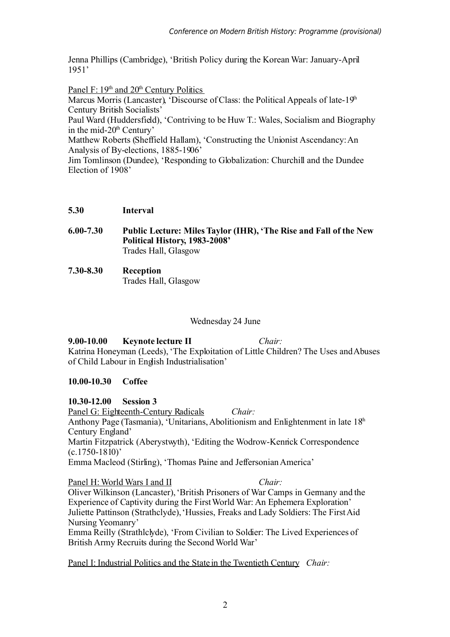Jenna Phillips (Cambridge), 'British Policy during the Korean War: January-April 1951'

Panel F:  $19<sup>th</sup>$  and  $20<sup>th</sup>$  Century Politics Marcus Morris (Lancaster), 'Discourse of Class: the Political Appeals of late-19<sup>th</sup> Century British Socialists'

Paul Ward (Huddersfield), 'Contriving to be Huw T.: Wales, Socialism and Biography in the mid-20<sup>th</sup> Century'

Matthew Roberts (Sheffield Hallam), 'Constructing the Unionist Ascendancy: An Analysis of By-elections, 1885-1906'

Jim Tomlinson (Dundee), 'Responding to Globalization: Churchill and the Dundee Election of 1908'

#### **5.30 Interval**

- **6.00-7.30 Public Lecture: Miles Taylor (IHR), 'The Rise and Fall of the New Political History, 1983-2008'** Trades Hall, Glasgow
- **7.30-8.30 Reception** Trades Hall, Glasgow

#### Wednesday 24 June

**9.00-10.00 Keynote lecture II** *Chair:*  Katrina Honeyman (Leeds), 'The Exploitation of Little Children? The Uses and Abuses of Child Labour in English Industrialisation'

#### **10.00-10.30 Coffee**

#### **10.30-12.00 Session 3**

Panel G: Eighteenth-Century Radicals *Chair:*  Anthony Page (Tasmania), 'Unitarians, Abolitionism and Enlightenment in late  $18<sup>th</sup>$ Century England' Martin Fitzpatrick (Aberystwyth), 'Editing the Wodrow-Kenrick Correspondence (c.1750-1810)'

Emma Macleod (Stirling), 'Thomas Paine and Jeffersonian America'

#### Panel H: World Wars I and II *Chair:* Oliver Wilkinson (Lancaster), 'British Prisoners of War Camps in Germany and the Experience of Captivity during the First World War: An Ephemera Exploration' Juliette Pattinson (Strathclyde), 'Hussies, Freaks and Lady Soldiers: The First Aid Nursing Yeomanry'

Emma Reilly (Strathlclyde), 'From Civilian to Soldier: The Lived Experiences of British Army Recruits during the Second World War'

Panel I: Industrial Politics and the State in the Twentieth Century *Chair:*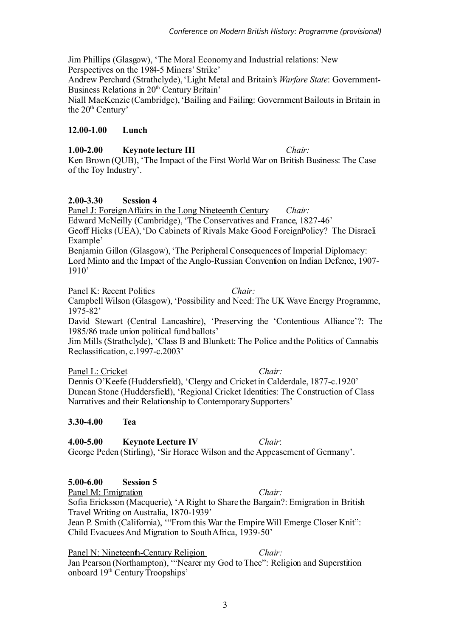Jim Phillips (Glasgow), 'The Moral Economy and Industrial relations: New Perspectives on the 1984-5 Miners' Strike'

Andrew Perchard (Strathclyde), 'Light Metal and Britain's *Warfare State*: Government-Business Relations in 20<sup>th</sup> Century Britain'

Niall MacKenzie (Cambridge), 'Bailing and Failing: Government Bailouts in Britain in the 20<sup>th</sup> Century'

### **12.00-1.00 Lunch**

### **1.00-2.00 Keynote lecture III** *Chair:*

Ken Brown (QUB), 'The Impact of the First World War on British Business: The Case of the Toy Industry'.

# **2.00-3.30 Session 4**

Panel J: Foreign Affairs in the Long Nineteenth Century *Chair:*  Edward McNeilly (Cambridge), 'The Conservatives and France, 1827-46' Geoff Hicks (UEA), 'Do Cabinets of Rivals Make Good Foreign Policy? The Disraeli Example' Benjamin Gillon (Glasgow), 'The Peripheral Consequences of Imperial Diplomacy:

Lord Minto and the Impact of the Anglo-Russian Convention on Indian Defence, 1907- 1910'

Panel K: Recent Politics *Chair:* Campbell Wilson (Glasgow), 'Possibility and Need: The UK Wave Energy Programme, 1975-82'

David Stewart (Central Lancashire), 'Preserving the 'Contentious Alliance'?: The 1985/86 trade union political fund ballots'

Jim Mills (Strathclyde), 'Class B and Blunkett: The Police and the Politics of Cannabis Reclassification, c.1997-c.2003'

Panel L: Cricket *Chair: Chair:* 

Dennis O'Keefe (Huddersfield), 'Clergy and Cricket in Calderdale, 1877-c.1920' Duncan Stone (Huddersfield), 'Regional Cricket Identities: The Construction of Class Narratives and their Relationship to Contemporary Supporters'

#### **3.30-4.00 Tea**

**4.00-5.00 Keynote Lecture IV** *Chair*: George Peden (Stirling), 'Sir Horace Wilson and the Appeasement of Germany'.

#### **5.00-6.00 Session 5**

Panel M: Emigration *Chair: Chair:* Sofia Ericksson (Macquerie), 'A Right to Share the Bargain?: Emigration in British Travel Writing on Australia, 1870-1939' Jean P. Smith (California), '"From this War the EmpireWill Emerge Closer Knit": Child Evacuees And Migration to South Africa, 1939-50'

Panel N: Nineteenth-Century Religion *Chair:* Jan Pearson (Northampton), '"Nearer my God to Thee": Religion and Superstition onboard 19<sup>th</sup> Century Troopships'

3